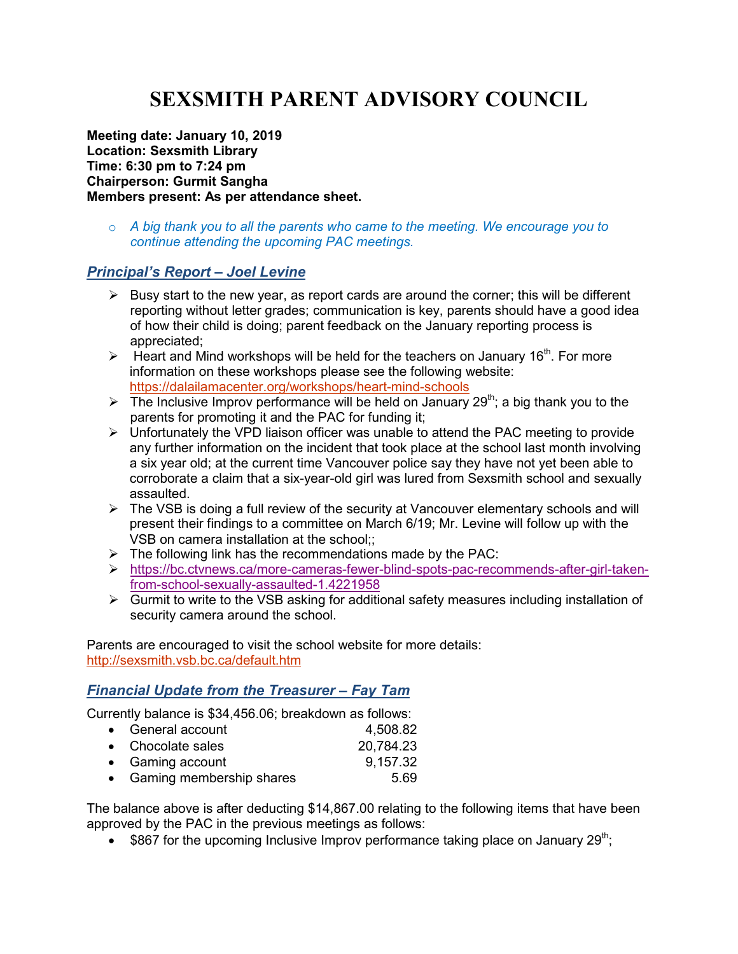# **SEXSMITH PARENT ADVISORY COUNCIL**

**Meeting date: January 10, 2019 Location: Sexsmith Library Time: 6:30 pm to 7:24 pm Chairperson: Gurmit Sangha Members present: As per attendance sheet.** 

o *A big thank you to all the parents who came to the meeting. We encourage you to continue attending the upcoming PAC meetings.* 

# *Principal's Report – Joel Levine*

- $\triangleright$  Busy start to the new year, as report cards are around the corner; this will be different reporting without letter grades; communication is key, parents should have a good idea of how their child is doing; parent feedback on the January reporting process is appreciated;
- $\triangleright$  Heart and Mind workshops will be held for the teachers on January 16<sup>th</sup>. For more information on these workshops please see the following website: https://dalailamacenter.org/workshops/heart-mind-schools
- $\triangleright$  The Inclusive Improv performance will be held on January 29<sup>th</sup>; a big thank you to the parents for promoting it and the PAC for funding it;
- $\triangleright$  Unfortunately the VPD liaison officer was unable to attend the PAC meeting to provide any further information on the incident that took place at the school last month involving a six year old; at the current time Vancouver police say they have not yet been able to corroborate a claim that a six-year-old girl was lured from Sexsmith school and sexually assaulted.
- $\triangleright$  The VSB is doing a full review of the security at Vancouver elementary schools and will present their findings to a committee on March 6/19; Mr. Levine will follow up with the VSB on camera installation at the school;;
- $\triangleright$  The following link has the recommendations made by the PAC:
- https://bc.ctvnews.ca/more-cameras-fewer-blind-spots-pac-recommends-after-girl-takenfrom-school-sexually-assaulted-1.4221958
- $\triangleright$  Gurmit to write to the VSB asking for additional safety measures including installation of security camera around the school.

Parents are encouraged to visit the school website for more details: http://sexsmith.vsb.bc.ca/default.htm

# *Financial Update from the Treasurer – Fay Tam*

Currently balance is \$34,456.06; breakdown as follows:

| 4,508.82                                                                                 |
|------------------------------------------------------------------------------------------|
| 20,784.23                                                                                |
| 9,157.32                                                                                 |
| 5.69                                                                                     |
| • General account<br>• Chocolate sales<br>• Gaming account<br>• Gaming membership shares |

The balance above is after deducting \$14,867.00 relating to the following items that have been approved by the PAC in the previous meetings as follows:

• \$867 for the upcoming Inclusive Improv performance taking place on January  $29<sup>th</sup>$ ;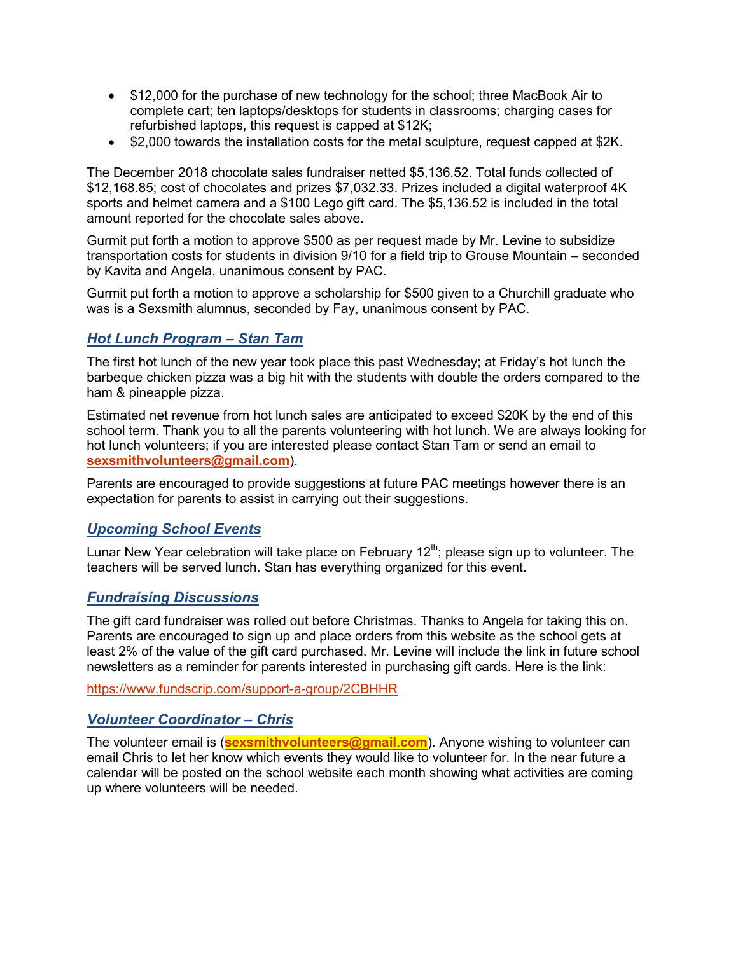- \$12,000 for the purchase of new technology for the school; three MacBook Air to complete cart; ten laptops/desktops for students in classrooms; charging cases for refurbished laptops, this request is capped at \$12K;
- \$2,000 towards the installation costs for the metal sculpture, request capped at \$2K.

The December 2018 chocolate sales fundraiser netted \$5,136.52. Total funds collected of \$12,168.85; cost of chocolates and prizes \$7,032.33. Prizes included a digital waterproof 4K sports and helmet camera and a \$100 Lego gift card. The \$5,136.52 is included in the total amount reported for the chocolate sales above.

Gurmit put forth a motion to approve \$500 as per request made by Mr. Levine to subsidize transportation costs for students in division 9/10 for a field trip to Grouse Mountain – seconded by Kavita and Angela, unanimous consent by PAC.

Gurmit put forth a motion to approve a scholarship for \$500 given to a Churchill graduate who was is a Sexsmith alumnus, seconded by Fay, unanimous consent by PAC.

# *Hot Lunch Program – Stan Tam*

The first hot lunch of the new year took place this past Wednesday; at Friday's hot lunch the barbeque chicken pizza was a big hit with the students with double the orders compared to the ham & pineapple pizza.

Estimated net revenue from hot lunch sales are anticipated to exceed \$20K by the end of this school term. Thank you to all the parents volunteering with hot lunch. We are always looking for hot lunch volunteers; if you are interested please contact Stan Tam or send an email to **sexsmithvolunteers@gmail.com**).

Parents are encouraged to provide suggestions at future PAC meetings however there is an expectation for parents to assist in carrying out their suggestions.

# *Upcoming School Events*

Lunar New Year celebration will take place on February  $12<sup>th</sup>$ ; please sign up to volunteer. The teachers will be served lunch. Stan has everything organized for this event.

### *Fundraising Discussions*

The gift card fundraiser was rolled out before Christmas. Thanks to Angela for taking this on. Parents are encouraged to sign up and place orders from this website as the school gets at least 2% of the value of the gift card purchased. Mr. Levine will include the link in future school newsletters as a reminder for parents interested in purchasing gift cards. Here is the link:

https://www.fundscrip.com/support-a-group/2CBHHR

### *Volunteer Coordinator – Chris*

The volunteer email is (**sexsmithvolunteers@gmail.com**). Anyone wishing to volunteer can email Chris to let her know which events they would like to volunteer for. In the near future a calendar will be posted on the school website each month showing what activities are coming up where volunteers will be needed.